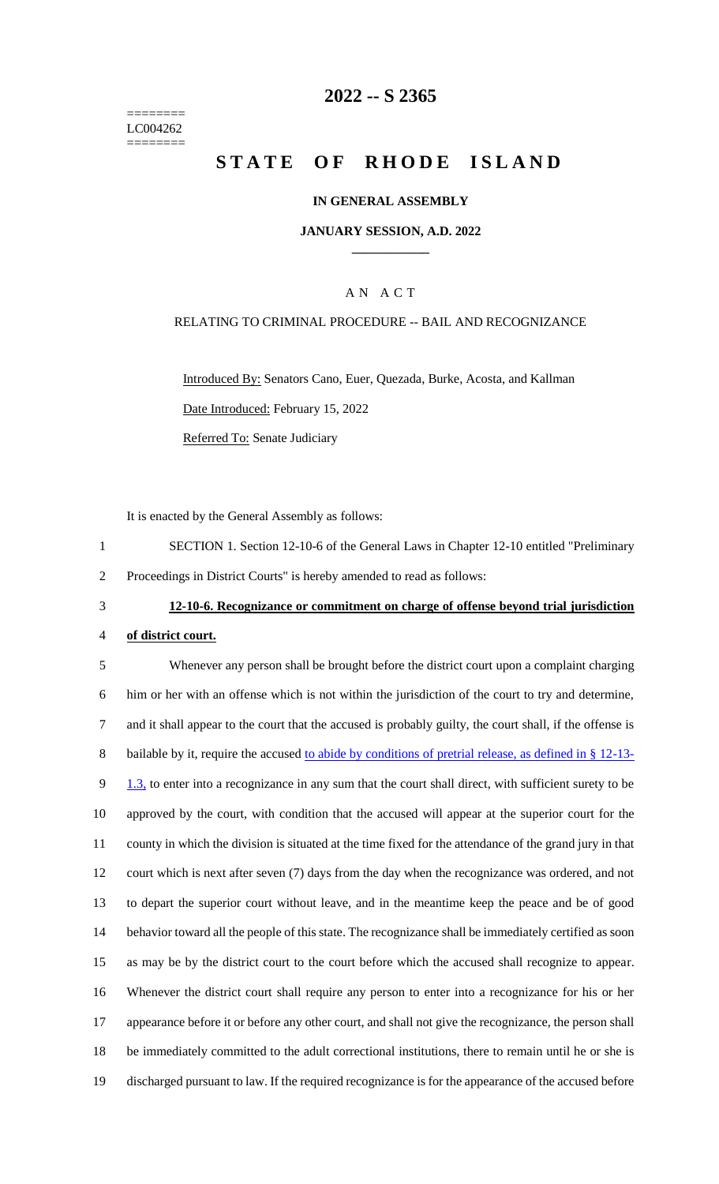======== LC004262 ========

# **2022 -- S 2365**

# **STATE OF RHODE ISLAND**

#### **IN GENERAL ASSEMBLY**

#### **JANUARY SESSION, A.D. 2022 \_\_\_\_\_\_\_\_\_\_\_\_**

### A N A C T

#### RELATING TO CRIMINAL PROCEDURE -- BAIL AND RECOGNIZANCE

Introduced By: Senators Cano, Euer, Quezada, Burke, Acosta, and Kallman Date Introduced: February 15, 2022 Referred To: Senate Judiciary

It is enacted by the General Assembly as follows:

1 SECTION 1. Section 12-10-6 of the General Laws in Chapter 12-10 entitled "Preliminary 2 Proceedings in District Courts" is hereby amended to read as follows:

3 **12-10-6. Recognizance or commitment on charge of offense beyond trial jurisdiction** 

#### 4 **of district court.**

 Whenever any person shall be brought before the district court upon a complaint charging him or her with an offense which is not within the jurisdiction of the court to try and determine, and it shall appear to the court that the accused is probably guilty, the court shall, if the offense is 8 bailable by it, require the accused to abide by conditions of pretrial release, as defined in § 12-13-9 1.3, to enter into a recognizance in any sum that the court shall direct, with sufficient surety to be approved by the court, with condition that the accused will appear at the superior court for the county in which the division is situated at the time fixed for the attendance of the grand jury in that court which is next after seven (7) days from the day when the recognizance was ordered, and not to depart the superior court without leave, and in the meantime keep the peace and be of good behavior toward all the people of this state. The recognizance shall be immediately certified as soon as may be by the district court to the court before which the accused shall recognize to appear. Whenever the district court shall require any person to enter into a recognizance for his or her appearance before it or before any other court, and shall not give the recognizance, the person shall be immediately committed to the adult correctional institutions, there to remain until he or she is discharged pursuant to law. If the required recognizance is for the appearance of the accused before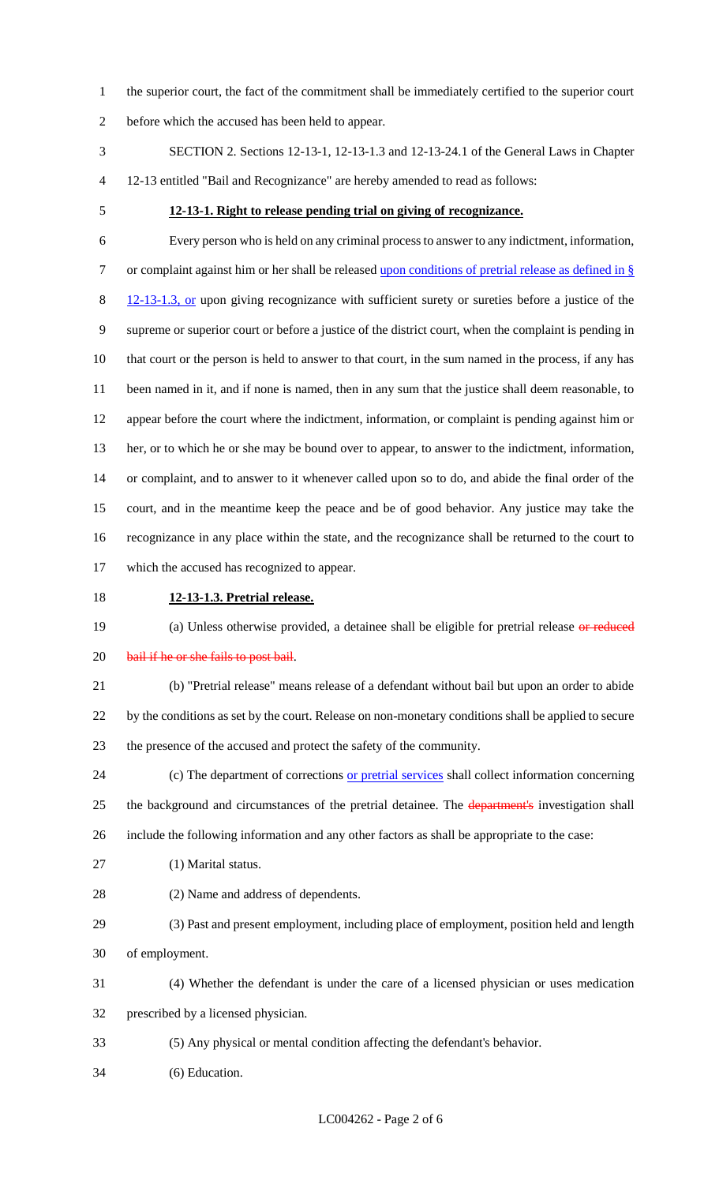the superior court, the fact of the commitment shall be immediately certified to the superior court before which the accused has been held to appear.

- SECTION 2. Sections 12-13-1, 12-13-1.3 and 12-13-24.1 of the General Laws in Chapter 12-13 entitled "Bail and Recognizance" are hereby amended to read as follows:
- 

#### **12-13-1. Right to release pending trial on giving of recognizance.**

 Every person who is held on any criminal process to answer to any indictment, information, 7 or complaint against him or her shall be released upon conditions of pretrial release as defined in § 8 12-13-1.3, or upon giving recognizance with sufficient surety or sureties before a justice of the supreme or superior court or before a justice of the district court, when the complaint is pending in that court or the person is held to answer to that court, in the sum named in the process, if any has been named in it, and if none is named, then in any sum that the justice shall deem reasonable, to appear before the court where the indictment, information, or complaint is pending against him or her, or to which he or she may be bound over to appear, to answer to the indictment, information, or complaint, and to answer to it whenever called upon so to do, and abide the final order of the court, and in the meantime keep the peace and be of good behavior. Any justice may take the recognizance in any place within the state, and the recognizance shall be returned to the court to which the accused has recognized to appear.

**12-13-1.3. Pretrial release.**

19 (a) Unless otherwise provided, a detainee shall be eligible for pretrial release or reduced 20 bail if he or she fails to post bail.

 (b) "Pretrial release" means release of a defendant without bail but upon an order to abide by the conditions as set by the court. Release on non-monetary conditions shall be applied to secure the presence of the accused and protect the safety of the community.

24 (c) The department of corrections or pretrial services shall collect information concerning 25 the background and circumstances of the pretrial detainee. The department's investigation shall include the following information and any other factors as shall be appropriate to the case:

- (1) Marital status.
- (2) Name and address of dependents.
- (3) Past and present employment, including place of employment, position held and length of employment.
- (4) Whether the defendant is under the care of a licensed physician or uses medication prescribed by a licensed physician.
- (5) Any physical or mental condition affecting the defendant's behavior.
- (6) Education.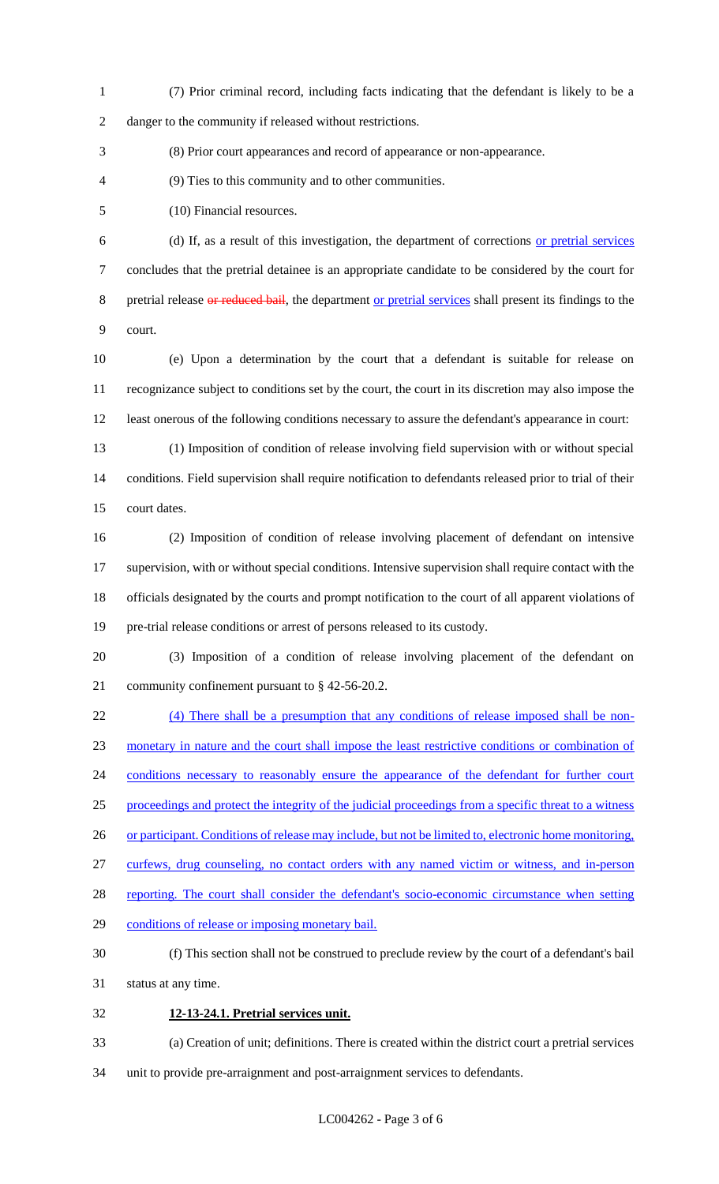(7) Prior criminal record, including facts indicating that the defendant is likely to be a danger to the community if released without restrictions.

(8) Prior court appearances and record of appearance or non-appearance.

(9) Ties to this community and to other communities.

(10) Financial resources.

 (d) If, as a result of this investigation, the department of corrections or pretrial services concludes that the pretrial detainee is an appropriate candidate to be considered by the court for 8 pretrial release or reduced bail, the department or pretrial services shall present its findings to the court.

 (e) Upon a determination by the court that a defendant is suitable for release on recognizance subject to conditions set by the court, the court in its discretion may also impose the least onerous of the following conditions necessary to assure the defendant's appearance in court:

 (1) Imposition of condition of release involving field supervision with or without special conditions. Field supervision shall require notification to defendants released prior to trial of their court dates.

 (2) Imposition of condition of release involving placement of defendant on intensive 17 supervision, with or without special conditions. Intensive supervision shall require contact with the officials designated by the courts and prompt notification to the court of all apparent violations of pre-trial release conditions or arrest of persons released to its custody.

 (3) Imposition of a condition of release involving placement of the defendant on community confinement pursuant to § 42-56-20.2.

 (4) There shall be a presumption that any conditions of release imposed shall be non- monetary in nature and the court shall impose the least restrictive conditions or combination of 24 conditions necessary to reasonably ensure the appearance of the defendant for further court proceedings and protect the integrity of the judicial proceedings from a specific threat to a witness 26 or participant. Conditions of release may include, but not be limited to, electronic home monitoring, curfews, drug counseling, no contact orders with any named victim or witness, and in-person 28 reporting. The court shall consider the defendant's socio-economic circumstance when setting 29 conditions of release or imposing monetary bail. (f) This section shall not be construed to preclude review by the court of a defendant's bail status at any time. **12-13-24.1. Pretrial services unit.**

 (a) Creation of unit; definitions. There is created within the district court a pretrial services unit to provide pre-arraignment and post-arraignment services to defendants.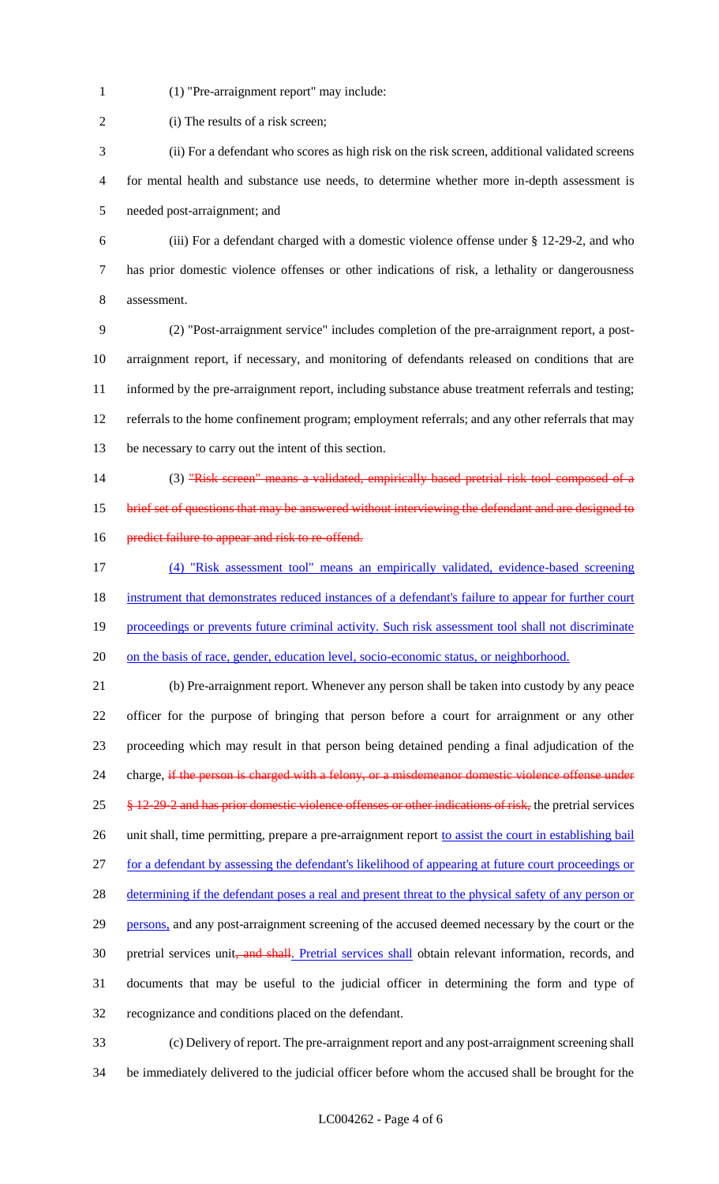(1) "Pre-arraignment report" may include:

2 (i) The results of a risk screen;

 (ii) For a defendant who scores as high risk on the risk screen, additional validated screens for mental health and substance use needs, to determine whether more in-depth assessment is needed post-arraignment; and

 (iii) For a defendant charged with a domestic violence offense under § 12-29-2, and who has prior domestic violence offenses or other indications of risk, a lethality or dangerousness assessment.

 (2) "Post-arraignment service" includes completion of the pre-arraignment report, a post- arraignment report, if necessary, and monitoring of defendants released on conditions that are informed by the pre-arraignment report, including substance abuse treatment referrals and testing; referrals to the home confinement program; employment referrals; and any other referrals that may be necessary to carry out the intent of this section.

14 (3) "Risk screen" means a validated, empirically based pretrial risk tool composed of a

15 brief set of questions that may be answered without interviewing the defendant and are designed to

- 16 predict failure to appear and risk to re-offend.
- (4) "Risk assessment tool" means an empirically validated, evidence-based screening 18 instrument that demonstrates reduced instances of a defendant's failure to appear for further court 19 proceedings or prevents future criminal activity. Such risk assessment tool shall not discriminate on the basis of race, gender, education level, socio-economic status, or neighborhood.

 (b) Pre-arraignment report. Whenever any person shall be taken into custody by any peace officer for the purpose of bringing that person before a court for arraignment or any other proceeding which may result in that person being detained pending a final adjudication of the 24 charge, if the person is charged with a felony, or a misdemeanor domestic violence offense under  $25 \frac{\text{I2-29-2}}{\text{I2-29-2}}$  and has prior domestic violence offenses or other indications of risk, the pretrial services 26 unit shall, time permitting, prepare a pre-arraignment report to assist the court in establishing bail for a defendant by assessing the defendant's likelihood of appearing at future court proceedings or 28 determining if the defendant poses a real and present threat to the physical safety of any person or 29 persons, and any post-arraignment screening of the accused deemed necessary by the court or the 30 pretrial services unit, and shall. Pretrial services shall obtain relevant information, records, and documents that may be useful to the judicial officer in determining the form and type of recognizance and conditions placed on the defendant.

 (c) Delivery of report. The pre-arraignment report and any post-arraignment screening shall be immediately delivered to the judicial officer before whom the accused shall be brought for the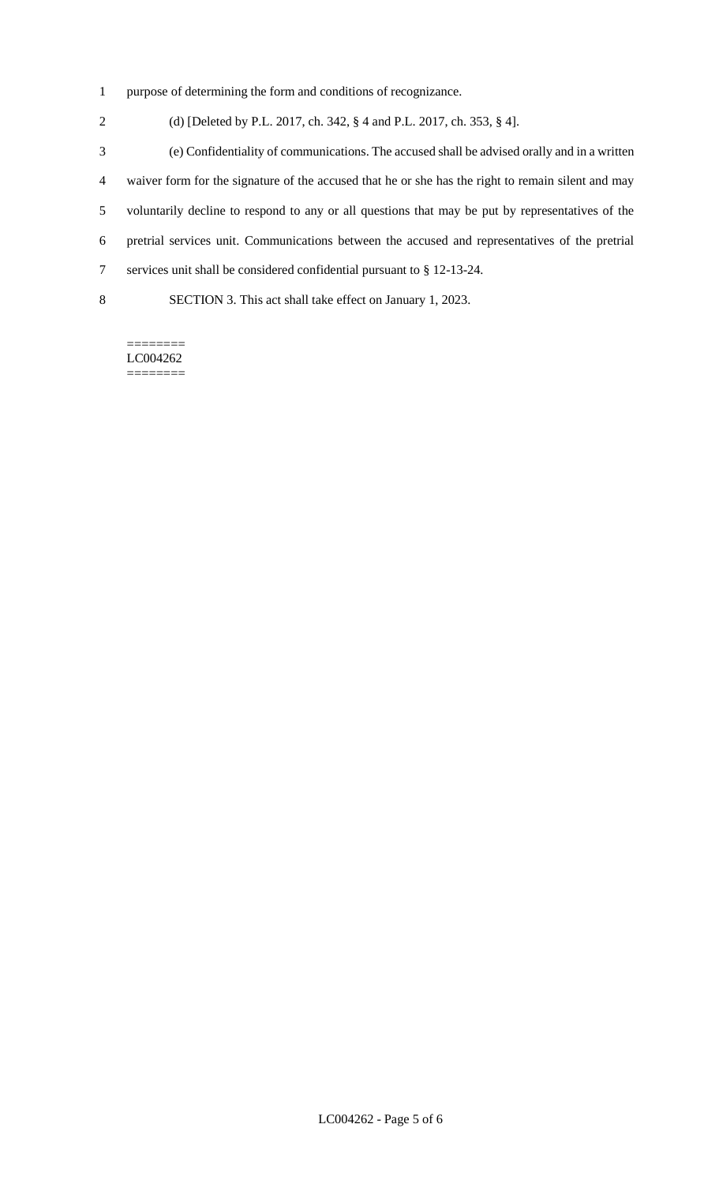- purpose of determining the form and conditions of recognizance.
- (d) [Deleted by P.L. 2017, ch. 342, § 4 and P.L. 2017, ch. 353, § 4].
- (e) Confidentiality of communications. The accused shall be advised orally and in a written waiver form for the signature of the accused that he or she has the right to remain silent and may voluntarily decline to respond to any or all questions that may be put by representatives of the pretrial services unit. Communications between the accused and representatives of the pretrial services unit shall be considered confidential pursuant to § 12-13-24. SECTION 3. This act shall take effect on January 1, 2023.

======== LC004262 ========